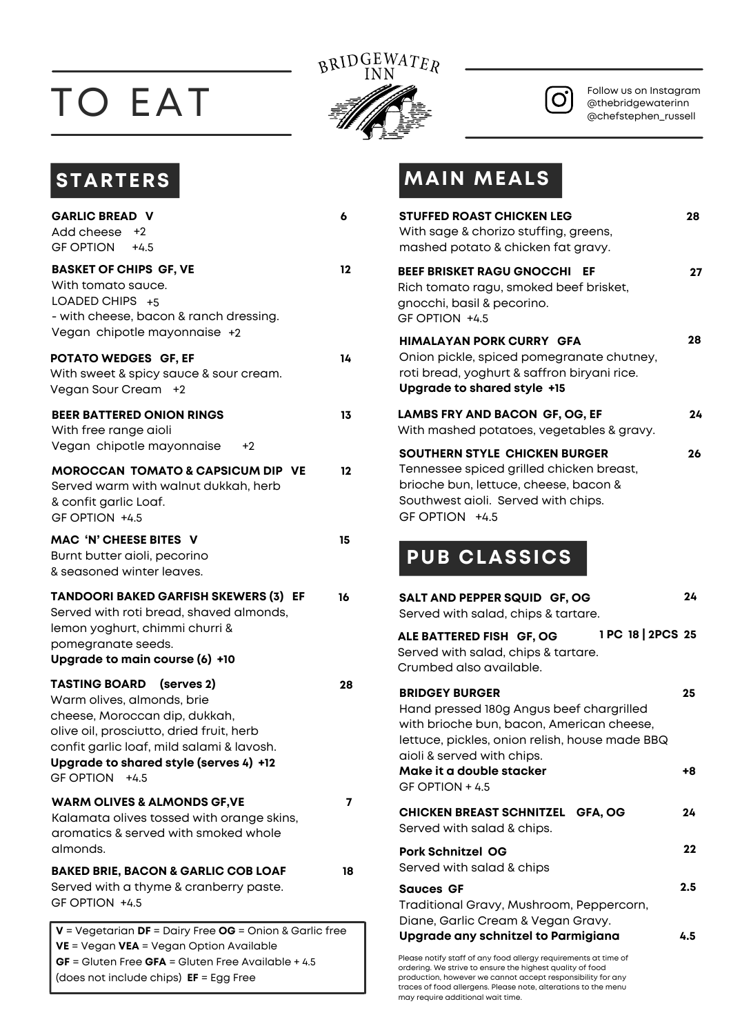## TO EAT



 $\mathbf{O}$ 

Follow us on Instagram @thebridgewaterinn @chefstephen\_russell

| <b>GARLIC BREAD V</b><br>Add cheese +2<br><b>GF OPTION</b><br>$+4.5$                                                                                                                                                                                   | 6  |
|--------------------------------------------------------------------------------------------------------------------------------------------------------------------------------------------------------------------------------------------------------|----|
| <b>BASKET OF CHIPS GF, VE</b><br>With tomato sauce.<br>LOADED CHIPS +5<br>- with cheese, bacon & ranch dressing.<br>Vegan chipotle mayonnaise +2                                                                                                       | 12 |
| POTATO WEDGES GF, EF<br>With sweet & spicy sauce & sour cream.<br>Vegan Sour Cream +2                                                                                                                                                                  | 14 |
| <b>BEER BATTERED ONION RINGS</b><br>With free range aioli<br>Vegan chipotle mayonnaise<br>+2                                                                                                                                                           | 13 |
| <b>MOROCCAN TOMATO &amp; CAPSICUM DIP VE</b><br>Served warm with walnut dukkah, herb<br>& confit garlic Loaf.<br>GF OPTION +4.5                                                                                                                        | 12 |
| MAC 'N' CHEESE BITES V<br>Burnt butter aioli, pecorino<br>& seasoned winter leaves.                                                                                                                                                                    | 15 |
| <b>TANDOORI BAKED GARFISH SKEWERS (3) EF</b><br>Served with roti bread, shaved almonds,<br>lemon yoghurt, chimmi churri &<br>pomegranate seeds.<br>Upgrade to main course (6) +10                                                                      | 16 |
| <b>TASTING BOARD</b><br>(serves 2)<br>Warm olives, almonds, brie<br>cheese, Moroccan dip, dukkah,<br>olive oil, prosciutto, dried fruit, herb<br>confit garlic loaf, mild salami & lavosh.<br>Upgrade to shared style (serves 4) +12<br>GF OPTION +4.5 | 28 |
| <b>WARM OLIVES &amp; ALMONDS GF, VE</b><br>Kalamata olives tossed with orange skins,<br>aromatics & served with smoked whole<br>almonds.                                                                                                               | 7  |
| <b>BAKED BRIE, BACON &amp; GARLIC COB LOAF</b><br>Served with a thyme & cranberry paste.<br>GF OPTION +4.5                                                                                                                                             | 18 |
| V = Vegetarian DF = Dairy Free OG = Onion & Garlic free<br>VE = Vegan VEA = Vegan Option Available<br>$GF = Gluten Free GFA = Gluten Free Available + 4.5$                                                                                             |    |

(does not include chips) **EF** = Egg Free

## **STARTERS MAIN MEALS**

| <b>STUFFED ROAST CHICKEN LEG</b>                                                 | With sage & chorizo stuffing, greens,<br>mashed potato & chicken fat gravy.                                                                               | 28  |
|----------------------------------------------------------------------------------|-----------------------------------------------------------------------------------------------------------------------------------------------------------|-----|
| <b>BEEF BRISKET RAGU GNOCCHI</b><br>gnocchi, basil & pecorino.<br>GF OPTION +4.5 | EF<br>Rich tomato ragu, smoked beef brisket,                                                                                                              | 27  |
| Upgrade to shared style +15                                                      | HIMALAYAN PORK CURRY GFA<br>Onion pickle, spiced pomegranate chutney,<br>roti bread, yoghurt & saffron biryani rice.                                      | 28  |
|                                                                                  | <b>LAMBS FRY AND BACON GF, OG, EF</b><br>With mashed potatoes, vegetables & gravy.                                                                        | 24  |
| GF OPTION +4.5                                                                   | SOUTHERN STYLE CHICKEN BURGER<br>Tennessee spiced grilled chicken breast,<br>brioche bun, lettuce, cheese, bacon &<br>Southwest aioli. Served with chips. | 26  |
| <b>PUB CLASSICS</b>                                                              |                                                                                                                                                           |     |
|                                                                                  | SALT AND PEPPER SQUID GF, OG                                                                                                                              | 24  |
| Served with salad, chips & tartare.                                              |                                                                                                                                                           |     |
| Crumbed also available.                                                          | ALE BATTERED FISH GF, OG 1PC 18 2PCS 25<br>Served with salad, chips & tartare.                                                                            |     |
| <b>BRIDGEY BURGER</b><br>aioli & served with chips.                              | Hand pressed 180g Angus beef chargrilled<br>with brioche bun, bacon, American cheese,<br>lettuce, pickles, onion relish, house made BBQ                   | 25  |
| Make it a double stacker<br>GF OPTION + 4.5                                      |                                                                                                                                                           | +8  |
| Served with salad & chips.                                                       | CHICKEN BREAST SCHNITZEL GFA, OG                                                                                                                          | 24  |
| <b>Pork Schnitzel OG</b><br>Served with salad & chips                            |                                                                                                                                                           | 22  |
| <b>Sauces GF</b>                                                                 |                                                                                                                                                           | 2.5 |
|                                                                                  | Traditional Gravy, Mushroom, Peppercorn,<br>Diane, Garlic Cream & Vegan Gravy.<br>Upgrade any schnitzel to Parmigiana                                     | 4.5 |

production, however we cannot accept responsibility for any traces of food allergens. Please note, alterations to the menu may require additional wait time.